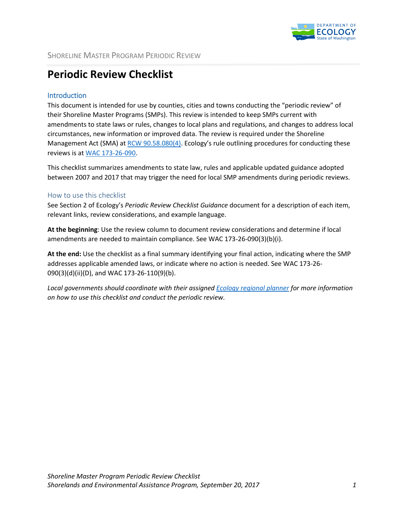

## **Periodic Review Checklist**

## **Introduction**

This document is intended for use by counties, cities and towns conducting the "periodic review" of their Shoreline Master Programs (SMPs). This review is intended to keep SMPs current with amendments to state laws or rules, changes to local plans and regulations, and changes to address local circumstances, new information or improved data. The review is required under the Shoreline Management Act (SMA) at [RCW 90.58.080\(4\)](http://app.leg.wa.gov/RCW/default.aspx?cite=90.58.080). Ecology's rule outlining procedures for conducting these reviews is a[t WAC 173-26-090.](http://apps.leg.wa.gov/wac/default.aspx?cite=173-26-090)

This checklist summarizes amendments to state law, rules and applicable updated guidance adopted between 2007 and 2017 that may trigger the need for local SMP amendments during periodic reviews.

## How to use this checklist

See Section 2 of Ecology's *Periodic Review Checklist Guidance* document for a description of each item, relevant links, review considerations, and example language.

**At the beginning**: Use the review column to document review considerations and determine if local amendments are needed to maintain compliance. See WAC 173-26-090(3)(b)(i).

**At the end:** Use the checklist as a final summary identifying your final action, indicating where the SMP addresses applicable amended laws, or indicate where no action is needed. See WAC 173-26- 090(3)(d)(ii)(D), and WAC 173-26-110(9)(b).

*Local governments should coordinate with their assigned Ecology [regional planner](http://www.ecy.wa.gov/programs/sea/sma/contacts/index.html) for more information on how to use this checklist and conduct the periodic review.*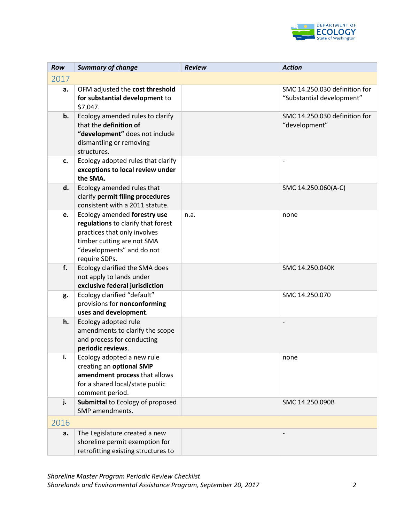

| Row  | <b>Summary of change</b>                                                                                                                                                       | <b>Review</b> | <b>Action</b>                                              |
|------|--------------------------------------------------------------------------------------------------------------------------------------------------------------------------------|---------------|------------------------------------------------------------|
| 2017 |                                                                                                                                                                                |               |                                                            |
| a.   | OFM adjusted the cost threshold<br>for substantial development to<br>\$7,047.                                                                                                  |               | SMC 14.250.030 definition for<br>"Substantial development" |
| b.   | Ecology amended rules to clarify<br>that the definition of<br>"development" does not include<br>dismantling or removing<br>structures.                                         |               | SMC 14.250.030 definition for<br>"development"             |
| c.   | Ecology adopted rules that clarify<br>exceptions to local review under<br>the SMA.                                                                                             |               | $\overline{\phantom{a}}$                                   |
| d.   | Ecology amended rules that<br>clarify permit filing procedures<br>consistent with a 2011 statute.                                                                              |               | SMC 14.250.060(A-C)                                        |
| e.   | Ecology amended forestry use<br>regulations to clarify that forest<br>practices that only involves<br>timber cutting are not SMA<br>"developments" and do not<br>require SDPs. | n.a.          | none                                                       |
| f.   | Ecology clarified the SMA does<br>not apply to lands under<br>exclusive federal jurisdiction                                                                                   |               | SMC 14.250.040K                                            |
| g.   | Ecology clarified "default"<br>provisions for nonconforming<br>uses and development.                                                                                           |               | SMC 14.250.070                                             |
| h.   | Ecology adopted rule<br>amendments to clarify the scope<br>and process for conducting<br>periodic reviews.                                                                     |               |                                                            |
| i.   | Ecology adopted a new rule<br>creating an optional SMP<br>amendment process that allows<br>for a shared local/state public<br>comment period.                                  |               | none                                                       |
| j.   | Submittal to Ecology of proposed<br>SMP amendments.                                                                                                                            |               | SMC 14.250.090B                                            |
| 2016 |                                                                                                                                                                                |               |                                                            |
| a.   | The Legislature created a new<br>shoreline permit exemption for<br>retrofitting existing structures to                                                                         |               |                                                            |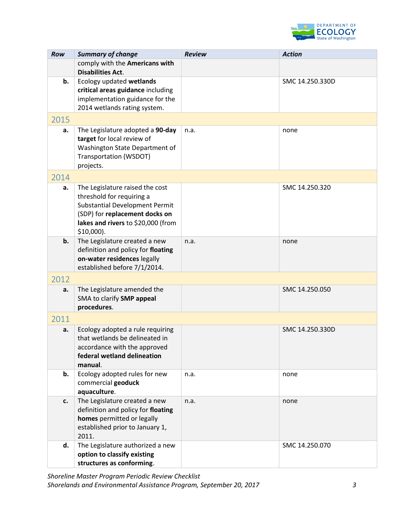

| <b>Row</b> | <b>Summary of change</b>                                             | <b>Review</b> | <b>Action</b>   |
|------------|----------------------------------------------------------------------|---------------|-----------------|
|            | comply with the Americans with                                       |               |                 |
|            | <b>Disabilities Act.</b>                                             |               |                 |
| b.         | Ecology updated wetlands                                             |               | SMC 14.250.330D |
|            | critical areas guidance including<br>implementation guidance for the |               |                 |
|            | 2014 wetlands rating system.                                         |               |                 |
| 2015       |                                                                      |               |                 |
|            |                                                                      |               |                 |
| a.         | The Legislature adopted a 90-day<br>target for local review of       | n.a.          | none            |
|            | Washington State Department of                                       |               |                 |
|            | Transportation (WSDOT)                                               |               |                 |
|            | projects.                                                            |               |                 |
| 2014       |                                                                      |               |                 |
| a.         | The Legislature raised the cost                                      |               | SMC 14.250.320  |
|            | threshold for requiring a                                            |               |                 |
|            | <b>Substantial Development Permit</b>                                |               |                 |
|            | (SDP) for replacement docks on                                       |               |                 |
|            | lakes and rivers to \$20,000 (from<br>$$10,000$ ).                   |               |                 |
| b.         | The Legislature created a new                                        | n.a.          | none            |
|            | definition and policy for floating                                   |               |                 |
|            | on-water residences legally                                          |               |                 |
|            | established before 7/1/2014.                                         |               |                 |
| 2012       |                                                                      |               |                 |
| a.         | The Legislature amended the                                          |               | SMC 14.250.050  |
|            | SMA to clarify SMP appeal                                            |               |                 |
|            | procedures.                                                          |               |                 |
| 2011       |                                                                      |               |                 |
| a.         | Ecology adopted a rule requiring                                     |               | SMC 14.250.330D |
|            | that wetlands be delineated in<br>accordance with the approved       |               |                 |
|            | federal wetland delineation                                          |               |                 |
|            | manual.                                                              |               |                 |
| b.         | Ecology adopted rules for new                                        | n.a.          | none            |
|            | commercial geoduck                                                   |               |                 |
|            | aquaculture.                                                         |               |                 |
| c.         | The Legislature created a new                                        | n.a.          | none            |
|            | definition and policy for floating                                   |               |                 |
|            | homes permitted or legally                                           |               |                 |
|            | established prior to January 1,<br>2011.                             |               |                 |
| d.         | The Legislature authorized a new                                     |               | SMC 14.250.070  |
|            | option to classify existing                                          |               |                 |
|            | structures as conforming.                                            |               |                 |

*Shoreline Master Program Periodic Review Checklist Shorelands and Environmental Assistance Program, September 20, 2017 3*